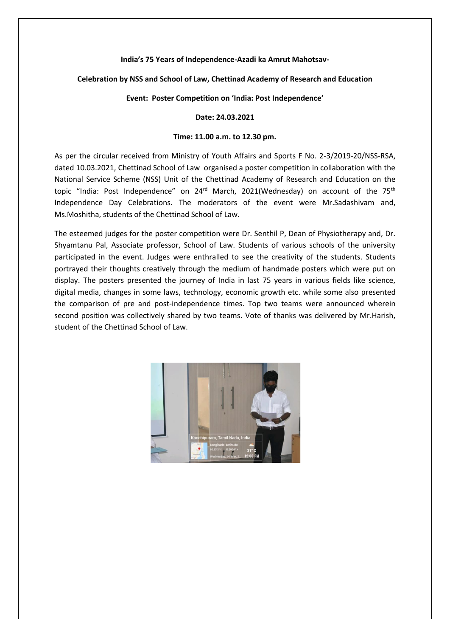### **India's 75 Years of Independence-Azadi ka Amrut Mahotsav-**

# **Celebration by NSS and School of Law, Chettinad Academy of Research and Education**

## **Event: Poster Competition on 'India: Post Independence'**

#### **Date: 24.03.2021**

# **Time: 11.00 a.m. to 12.30 pm.**

As per the circular received from Ministry of Youth Affairs and Sports F No. 2-3/2019-20/NSS-RSA, dated 10.03.2021, Chettinad School of Law organised a poster competition in collaboration with the National Service Scheme (NSS) Unit of the Chettinad Academy of Research and Education on the topic "India: Post Independence" on  $24<sup>rd</sup>$  March, 2021(Wednesday) on account of the 75<sup>th</sup> Independence Day Celebrations. The moderators of the event were Mr.Sadashivam and, Ms.Moshitha, students of the Chettinad School of Law.

The esteemed judges for the poster competition were Dr. Senthil P, Dean of Physiotherapy and, Dr. Shyamtanu Pal, Associate professor, School of Law. Students of various schools of the university participated in the event. Judges were enthralled to see the creativity of the students. Students portrayed their thoughts creatively through the medium of handmade posters which were put on display. The posters presented the journey of India in last 75 years in various fields like science, digital media, changes in some laws, technology, economic growth etc. while some also presented the comparison of pre and post-independence times. Top two teams were announced wherein second position was collectively shared by two teams. Vote of thanks was delivered by Mr.Harish, student of the Chettinad School of Law.

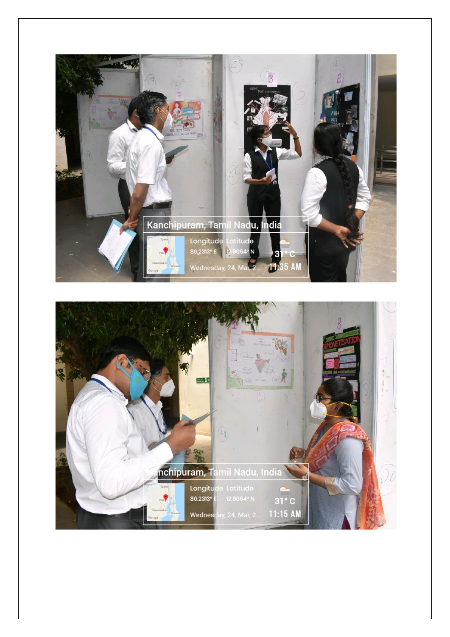

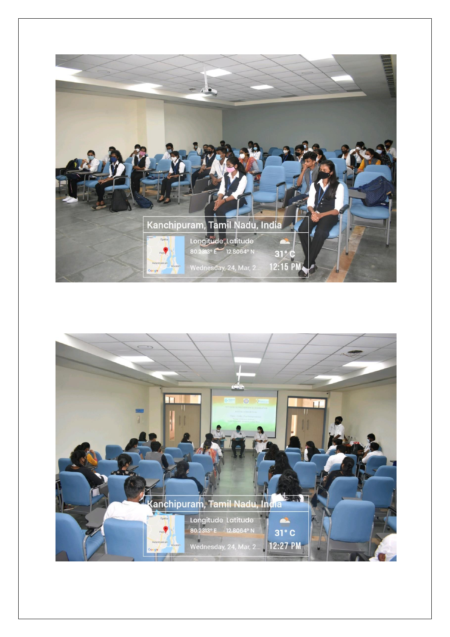